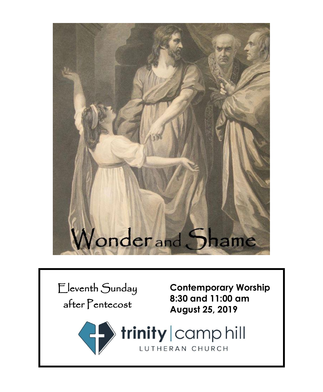



**Contemporary Worship 8:30 and 11:00 am August 25, 2019**

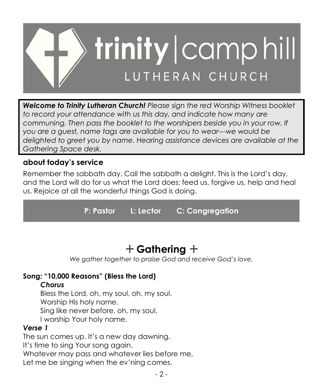

*Welcome to Trinity Lutheran Church! Please sign the red Worship Witness booklet to record your attendance with us this day, and indicate how many are communing. Then pass the booklet to the worshipers beside you in your row. If you are a guest, name tags are available for you to wear---we would be delighted to greet you by name. Hearing assistance devices are available at the Gathering Space desk.*

# **about today's service**

Remember the sabbath day. Call the sabbath a delight. This is the Lord's day, and the Lord will do for us what the Lord does: feed us, forgive us, help and heal us. Rejoice at all the wonderful things God is doing.

**P: Pastor L: Lector C: Congregation**

# + **Gathering** +

*We gather together to praise God and receive God's love.*

# **Song: "10,000 Reasons" (Bless the Lord)**

#### *Chorus*

Bless the Lord, oh, my soul, oh, my soul. Worship His holy name. Sing like never before, oh, my soul. I worship Your holy name.

#### *Verse 1*

The sun comes up. It's a new day dawning. It's time to sing Your song again. Whatever may pass and whatever lies before me, Let me be singing when the ev'ning comes.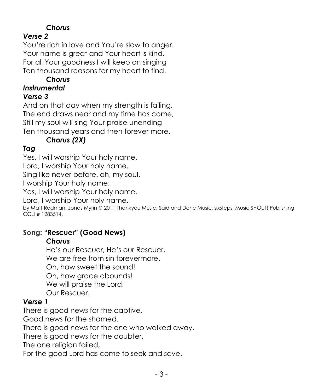# *Chorus*

# *Verse 2*

You're rich in love and You're slow to anger. Your name is great and Your heart is kind. For all Your goodness I will keep on singing Ten thousand reasons for my heart to find.

#### *Chorus*

*Instrumental*

# *Verse 3*

And on that day when my strength is failing, The end draws near and my time has come, Still my soul will sing Your praise unending Ten thousand years and then forever more.

# *Chorus (2X)*

# *Tag*

Yes, I will worship Your holy name.

Lord, I worship Your holy name.

Sing like never before, oh, my soul.

I worship Your holy name.

Yes, I will worship Your holy name.

Lord, I worship Your holy name.

by Matt Redman, Jonas Myrin © 2011 Thankyou Music, Said and Done Music, sixsteps, Music SHOUT! Publishing CCLI # 1283514.

# **Song: "Rescuer" (Good News)**

#### *Chorus*

He's our Rescuer, He's our Rescuer. We are free from sin forevermore. Oh, how sweet the sound! Oh, how grace abounds! We will praise the Lord, Our Rescuer.

# *Verse 1*

There is good news for the captive,

Good news for the shamed.

There is good news for the one who walked away.

There is good news for the doubter,

The one religion failed,

For the good Lord has come to seek and save.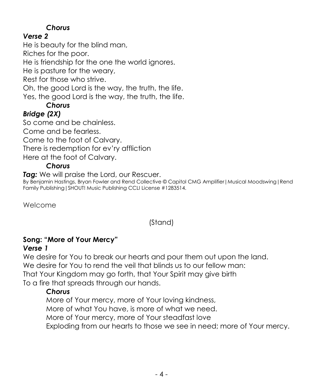# *Chorus*

#### *Verse 2*

He is beauty for the blind man,

Riches for the poor.

He is friendship for the one the world ignores.

He is pasture for the weary,

Rest for those who strive.

Oh, the good Lord is the way, the truth, the life.

Yes, the good Lord is the way, the truth, the life.

# *Chorus*

# *Bridge (2X)*

So come and be chainless.

Come and be fearless.

Come to the foot of Calvary.

There is redemption for ev'ry affliction

Here at the foot of Calvary.

#### *Chorus*

*Tag:* We will praise the Lord, our Rescuer.

By Benjamin Hastings, Bryan Fowler and Rend Collective © Capitol CMG Amplifier | Musical Moodswing | Rend Family Publishing|SHOUT! Music Publishing CCLI License #1283514.

Welcome

# (Stand)

# **Song: "More of Your Mercy"**

#### *Verse 1*

We desire for You to break our hearts and pour them out upon the land. We desire for You to rend the veil that blinds us to our fellow man: That Your Kingdom may go forth, that Your Spirit may give birth To a fire that spreads through our hands.

#### *Chorus*

More of Your mercy, more of Your loving kindness, More of what You have, is more of what we need. More of Your mercy, more of Your steadfast love Exploding from our hearts to those we see in need; more of Your mercy.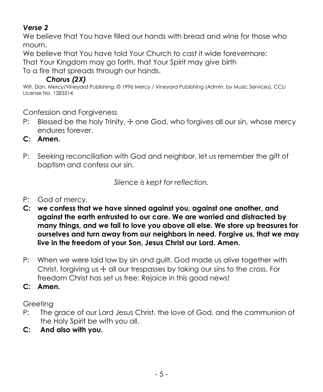# *Verse 2*

We believe that You have filled our hands with bread and wine for those who mourn.

We believe that You have told Your Church to cast it wide forevermore: That Your Kingdom may go forth, that Your Spirit may give birth To a fire that spreads through our hands.

#### *Chorus (2X)*

Wilt, Dan, Mercy/Vineyard Publishing, © 1996 Mercy / Vineyard Publishing (Admin. by Music Services), CCLI License No. 1283514.

Confession and Forgiveness

- P: Blessed be the holy Trinity,  $\pm$  one God, who forgives all our sin, whose mercy endures forever.
- **C: Amen.**
- P: Seeking reconciliation with God and neighbor, let us remember the gift of baptism and confess our sin.

*Silence is kept for reflection.*

- P: God of mercy,
- **C: we confess that we have sinned against you, against one another, and against the earth entrusted to our care. We are worried and distracted by many things, and we fail to love you above all else. We store up treasures for ourselves and turn away from our neighbors in need. Forgive us, that we may live in the freedom of your Son, Jesus Christ our Lord. Amen.**
- P: When we were laid low by sin and guilt, God made us alive together with Christ, forgiving us + all our trespasses by taking our sins to the cross. For freedom Christ has set us free: Rejoice in this good news!
- **C: Amen.**

Greeting

- P: The grace of our Lord Jesus Christ, the love of God, and the communion of the Holy Spirit be with you all.
- **C: And also with you.**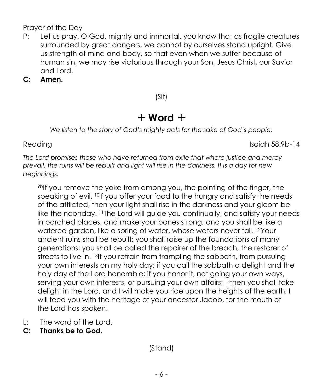Prayer of the Day

- P: Let us pray. O God, mighty and immortal, you know that as fragile creatures surrounded by great dangers, we cannot by ourselves stand upright. Give us strength of mind and body, so that even when we suffer because of human sin, we may rise victorious through your Son, Jesus Christ, our Savior and Lord.
- **C: Amen.**

#### (Sit)

# $+$  Word  $+$

*We listen to the story of God's mighty acts for the sake of God's people.*

Reading Isaiah 58:9b-14

*The Lord promises those who have returned from exile that where justice and mercy prevail, the ruins will be rebuilt and light will rise in the darkness. It is a day for new beginnings.*

9bIf you remove the yoke from among you, the pointing of the finger, the speaking of evil, <sup>10</sup>if you offer your food to the hungry and satisfy the needs of the afflicted, then your light shall rise in the darkness and your gloom be like the noonday. <sup>11</sup>The Lord will guide you continually, and satisfy your needs in parched places, and make your bones strong; and you shall be like a watered garden, like a spring of water, whose waters never fail. <sup>12</sup>Your ancient ruins shall be rebuilt; you shall raise up the foundations of many generations; you shall be called the repairer of the breach, the restorer of streets to live in. <sup>13</sup>If you refrain from trampling the sabbath, from pursuing your own interests on my holy day; if you call the sabbath a delight and the holy day of the Lord honorable; if you honor it, not going your own ways, serving your own interests, or pursuing your own affairs; <sup>14</sup>then you shall take delight in the Lord, and I will make you ride upon the heights of the earth; I will feed you with the heritage of your ancestor Jacob, for the mouth of the Lord has spoken.

- L: The word of the Lord.
- **C: Thanks be to God.**

(Stand)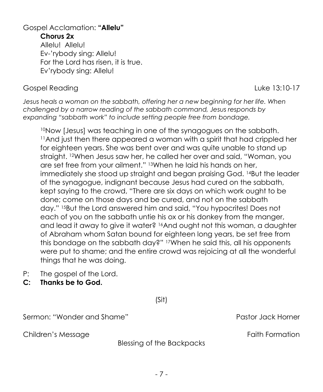#### Gospel Acclamation: **"Allelu"**

**Chorus 2x**

Allelu! Allelu! Ev-'rybody sing: Allelu! For the Lord has risen, it is true. Ev'rybody sing: Allelu!

# Gospel Reading Luke 13:10-17

Jesus heals a woman on the sabbath, offering her a new beginning for her life. When *challenged by a narrow reading of the sabbath command, Jesus responds by expanding "sabbath work" to include setting people free from bondage.*

<sup>10</sup>Now [Jesus] was teaching in one of the synagogues on the sabbath. <sup>11</sup>And just then there appeared a woman with a spirit that had crippled her for eighteen years. She was bent over and was quite unable to stand up straight. <sup>12</sup>When Jesus saw her, he called her over and said, "Woman, you are set free from your ailment." <sup>13</sup>When he laid his hands on her, immediately she stood up straight and began praising God. <sup>14</sup>But the leader of the synagogue, indignant because Jesus had cured on the sabbath, kept saying to the crowd, "There are six days on which work ought to be done; come on those days and be cured, and not on the sabbath day." <sup>15</sup>But the Lord answered him and said, "You hypocrites! Does not each of you on the sabbath untie his ox or his donkey from the manger, and lead it away to give it water? <sup>16</sup>And ought not this woman, a daughter of Abraham whom Satan bound for eighteen long years, be set free from this bondage on the sabbath day?" <sup>17</sup>When he said this, all his opponents were put to shame; and the entire crowd was rejoicing at all the wonderful things that he was doing.

- P: The gospel of the Lord.
- **C: Thanks be to God.**

(Sit)

Sermon: "Wonder and Shame" entitled a state of the Pastor Jack Horner

Children's Message Faith Formation Children's Message Faith Formation

#### Blessing of the Backpacks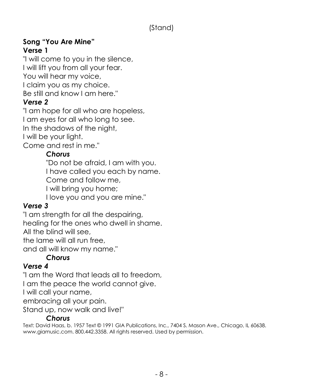# (Stand)

#### **Song "You Are Mine" Verse 1**

"I will come to you in the silence, I will lift you from all your fear. You will hear my voice, I claim you as my choice. Be still and know I am here."

#### *Verse 2*

"I am hope for all who are hopeless,

I am eyes for all who long to see.

In the shadows of the night,

I will be your light.

Come and rest in me."

#### *Chorus*

"Do not be afraid, I am with you. I have called you each by name.

Come and follow me,

I will bring you home;

I love you and you are mine."

# *Verse 3*

"I am strength for all the despairing, healing for the ones who dwell in shame. All the blind will see, the lame will all run free, and all will know my name."

# *Chorus*

# *Verse 4*

"I am the Word that leads all to freedom, I am the peace the world cannot give. I will call your name, embracing all your pain. Stand up, now walk and live!"

#### *Chorus*

Text: David Haas, b. 1957 Text © 1991 GIA Publications, Inc., 7404 S. Mason Ave., Chicago, IL 60638. www.giamusic.com. 800.442.3358. All rights reserved. Used by permission.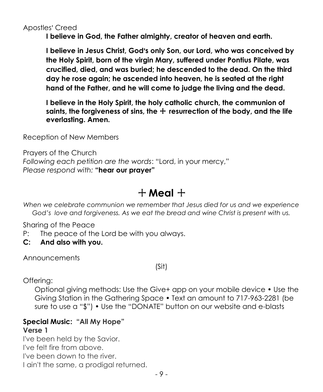Apostles' Creed

**I believe in God, the Father almighty, creator of heaven and earth.**

**I believe in Jesus Christ, God's only Son, our Lord, who was conceived by the Holy Spirit, born of the virgin Mary, suffered under Pontius Pilate, was crucified, died, and was buried; he descended to the dead. On the third day he rose again; he ascended into heaven, he is seated at the right hand of the Father, and he will come to judge the living and the dead.**

**I believe in the Holy Spirit, the holy catholic church, the communion of saints, the forgiveness of sins, the** + **resurrection of the body, and the life everlasting. Amen.**

Reception of New Members

Prayers of the Church *Following each petition are the words*: "Lord, in your mercy," *Please respond with:* **"hear our prayer"**

# $+$  Meal  $+$

*When we celebrate communion we remember that Jesus died for us and we experience God's love and forgiveness. As we eat the bread and wine Christ is present with us.*

Sharing of the Peace

P: The peace of the Lord be with you always.

**C: And also with you.**

Announcements

(Sit)

Offering:

Optional giving methods: Use the Give+ app on your mobile device • Use the Giving Station in the Gathering Space • Text an amount to 717-963-2281 (be sure to use a "\$") • Use the "DONATE" button on our website and e-blasts

#### **Special Music: "All My Hope" Verse 1**

I've been held by the Savior.

I've felt fire from above.

I've been down to the river.

I ain't the same, a prodigal returned.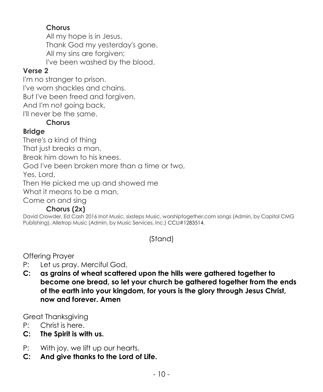#### **Chorus**

All my hope is in Jesus. Thank God my yesterday's gone. All my sins are forgiven; I've been washed by the blood.

# **Verse 2**

I'm no stranger to prison. I've worn shackles and chains. But I've been freed and forgiven, And I'm not going back, I'll never be the same.

**Chorus**

#### **Bridge**

There's a kind of thing

That just breaks a man,

Break him down to his knees.

God I've been broken more than a time or two,

Yes, Lord,

Then He picked me up and showed me

What it means to be a man.

Come on and sing

# **Chorus (2x)**

David Crowder, Ed Cash 2016 Inot Music, sixsteps Music, worshiptogether.com songs (Admin. by Capitol CMG Publishing), Alletrop Music (Admin. by Music Services, Inc.) CCLI#1283514.

# (Stand)

Offering Prayer

- P: Let us pray. Merciful God,
- **C: as grains of wheat scattered upon the hills were gathered together to become one bread, so let your church be gathered together from the ends of the earth into your kingdom, for yours is the glory through Jesus Christ, now and forever. Amen**

Great Thanksgiving

- P: Christ is here.
- **C: The Spirit is with us.**
- P: With joy, we lift up our hearts.
- **C: And give thanks to the Lord of Life.**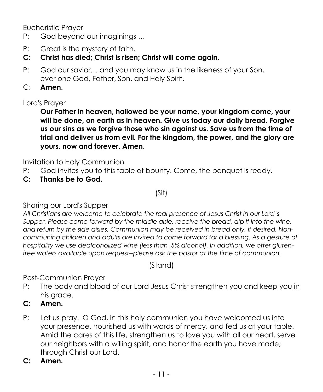Eucharistic Prayer

- P: God beyond our imaginings …
- P: Great is the mystery of faith.
- **C: Christ has died; Christ is risen; Christ will come again.**
- P: God our savior… and you may know us in the likeness of your Son, ever one God, Father, Son, and Holy Spirit.
- C: **Amen.**

#### Lord's Prayer

**Our Father in heaven, hallowed be your name, your kingdom come, your will be done, on earth as in heaven. Give us today our daily bread. Forgive us our sins as we forgive those who sin against us. Save us from the time of trial and deliver us from evil. For the kingdom, the power, and the glory are yours, now and forever. Amen.**

Invitation to Holy Communion

- P: God invites you to this table of bounty. Come, the banquet is ready.
- **C: Thanks be to God.**

#### (Sit)

Sharing our Lord's Supper

*All Christians are welcome to celebrate the real presence of Jesus Christ in our Lord's Supper. Please come forward by the middle aisle, receive the bread, dip it into the wine, and return by the side aisles. Communion may be received in bread only, if desired. Noncommuning children and adults are invited to come forward for a blessing. As a gesture of hospitality we use dealcoholized wine (less than .5% alcohol). In addition, we offer glutenfree wafers available upon request--please ask the pastor at the time of communion.*

(Stand)

Post-Communion Prayer

- P: The body and blood of our Lord Jesus Christ strengthen you and keep you in his arace.
- **C: Amen.**
- P: Let us pray. O God, in this holy communion you have welcomed us into your presence, nourished us with words of mercy, and fed us at your table. Amid the cares of this life, strengthen us to love you with all our heart, serve our neighbors with a willing spirit, and honor the earth you have made; through Christ our Lord.
- **C: Amen.**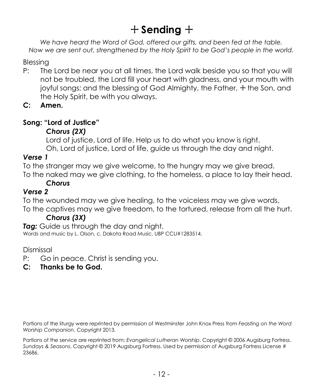# + **Sending** +

*We have heard the Word of God, offered our gifts, and been fed at the table. Now we are sent out, strengthened by the Holy Spirit to be God's people in the world.*

Blessing

P: The Lord be near you at all times, the Lord walk beside you so that you will not be troubled, the Lord fill your heart with gladness, and your mouth with joyful songs; and the blessing of God Almighty, the Father,  $\pm$  the Son, and the Holy Spirit, be with you always.

**C: Amen.**

#### **Song: "Lord of Justice"**

#### *Chorus (2X)*

Lord of justice, Lord of life. Help us to do what you know is right. Oh, Lord of justice, Lord of life, guide us through the day and night.

#### *Verse 1*

To the stranger may we give welcome, to the hungry may we give bread. To the naked may we give clothing, to the homeless, a place to lay their head.

#### *Chorus*

#### *Verse 2*

To the wounded may we give healing, to the voiceless may we give words, To the captives may we give freedom, to the tortured, release from all the hurt.

# *Chorus (3X)*

*Tag: Guide us through the day and night.* Words and music by L. Olson, c. Dakota Road Music, UBP CCLI#1283514.

Dismissal

P: Go in peace. Christ is sending you.

#### **C: Thanks be to God.**

Portions of the liturgy were reprinted by permission of Westminster John Knox Press from *Feasting on the Word Worship Companion*. Copyright 2013.

Portions of the service are reprinted from: *Evangelical Lutheran Worship*, Copyright © 2006 Augsburg Fortress. *Sundays & Seasons*, Copyright © 2019 Augsburg Fortress. Used by permission of Augsburg Fortress License # 23686.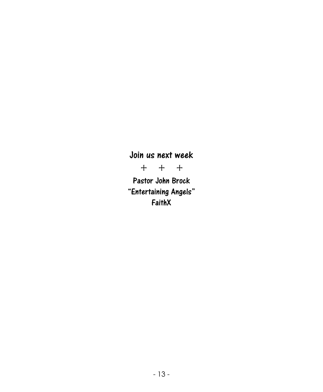Join us next week + + + Pastor John Brock "Entertaining Angels" FaithX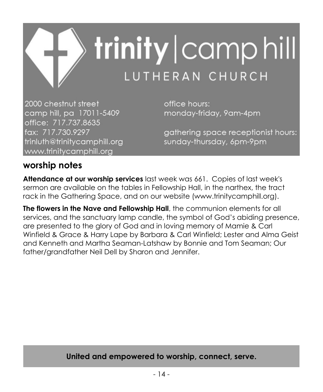

2000 chestnut street camp hill, pa 17011-5409 office: 717.737.8635 fax: 717.730.9297 trinluth@trinitycamphill.org www.trinitycamphill.org

office hours: monday-friday, 9am-4pm

gathering space receptionist hours: sunday-thursday, 6pm-9pm

# **worship notes**

**Attendance at our worship services** last week was 661. Copies of last week's sermon are available on the tables in Fellowship Hall, in the narthex, the tract rack in the Gathering Space, and on our website (www.trinitycamphill.org).

**The flowers in the Nave and Fellowship Hall**, the communion elements for all services, and the sanctuary lamp candle, the symbol of God's abiding presence, are presented to the glory of God and in loving memory of Mamie & Carl Winfield & Grace & Harry Lape by Barbara & Carl Winfield; Lester and Alma Geist and Kenneth and Martha Seaman-Latshaw by Bonnie and Tom Seaman; Our father/grandfather Neil Dell by Sharon and Jennifer.

**United and empowered to worship, connect, serve.**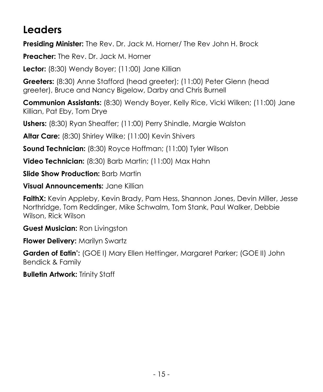# **Leaders**

**Presiding Minister:** The Rev. Dr. Jack M. Horner/ The Rev John H. Brock

**Preacher:** The Rev. Dr. Jack M. Horner

Lector: (8:30) Wendy Boyer; (11:00) Jane Killian

**Greeters:** (8:30) Anne Stafford (head greeter); (11:00) Peter Glenn (head greeter), Bruce and Nancy Bigelow, Darby and Chris Burnell

**Communion Assistants:** (8:30) Wendy Boyer, Kelly Rice, Vicki Wilken; (11:00) Jane Killian, Pat Eby, Tom Drye

**Ushers:** (8:30) Ryan Sheaffer; (11:00) Perry Shindle, Margie Walston

**Altar Care:** (8:30) Shirley Wilke; (11:00) Kevin Shivers

**Sound Technician:** (8:30) Royce Hoffman; (11:00) Tyler Wilson

**Video Technician:** (8:30) Barb Martin; (11:00) Max Hahn

**Slide Show Production:** Barb Martin

**Visual Announcements:** Jane Killian

**FaithX:** Kevin Appleby, Kevin Brady, Pam Hess, Shannon Jones, Devin Miller, Jesse Northridge, Tom Reddinger, Mike Schwalm, Tom Stank, Paul Walker, Debbie Wilson, Rick Wilson

**Guest Musician:** Ron Livingston

**Flower Delivery:** Marilyn Swartz

**Garden of Eatin':** (GOE I) Mary Ellen Hettinger, Margaret Parker; (GOE II) John Bendick & Family

**Bulletin Artwork:** Trinity Staff